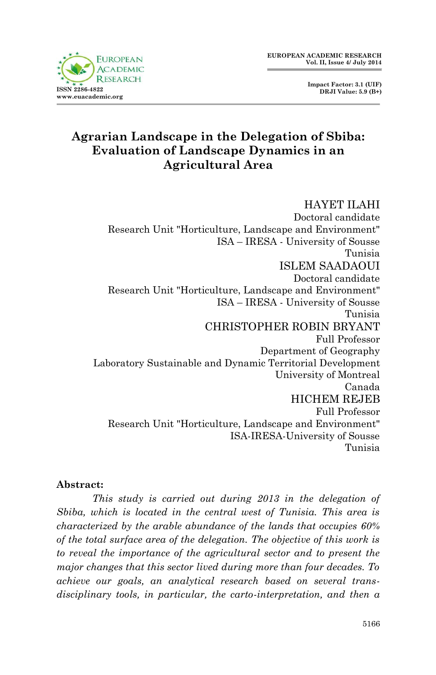**Impact Factor: 3.1 (UIF) DRJI Value: 5.9 (B+)**

## **Agrarian Landscape in the Delegation of Sbiba: Evaluation of Landscape Dynamics in an Agricultural Area**

HAYET ILAHI Doctoral candidate Research Unit "Horticulture, Landscape and Environment" ISA – IRESA - University of Sousse Tunisia ISLEM SAADAOUI Doctoral candidate Research Unit "Horticulture, Landscape and Environment" ISA – IRESA - University of Sousse Tunisia CHRISTOPHER ROBIN BRYANT Full Professor Department of Geography Laboratory Sustainable and Dynamic Territorial Development University of Montreal Canada HICHEM REJEB Full Professor Research Unit "Horticulture, Landscape and Environment" ISA-IRESA-University of Sousse Tunisia

#### **Abstract:**

*This study is carried out during 2013 in the delegation of Sbiba, which is located in the central west of Tunisia. This area is characterized by the arable abundance of the lands that occupies 60% of the total surface area of the delegation. The objective of this work is to reveal the importance of the agricultural sector and to present the major changes that this sector lived during more than four decades. To achieve our goals, an analytical research based on several transdisciplinary tools, in particular, the carto-interpretation, and then a*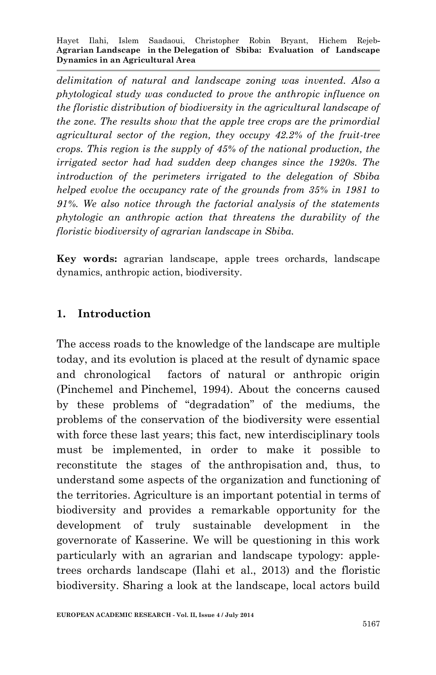*delimitation of natural and landscape zoning was invented. Also a phytological study was conducted to prove the anthropic influence on the floristic distribution of biodiversity in the agricultural landscape of the zone. The results show that the apple tree crops are the primordial agricultural sector of the region, they occupy 42.2% of the fruit-tree crops. This region is the supply of 45% of the national production, the irrigated sector had had sudden deep changes since the 1920s. The introduction of the perimeters irrigated to the delegation of Sbiba helped evolve the occupancy rate of the grounds from 35% in 1981 to 91%. We also notice through the factorial analysis of the statements phytologic an anthropic action that threatens the durability of the floristic biodiversity of agrarian landscape in Sbiba.*

**Key words:** agrarian landscape, apple trees orchards, landscape dynamics, anthropic action, biodiversity.

#### **1. Introduction**

The access roads to the knowledge of the landscape are multiple today, and its evolution is placed at the result of dynamic space and chronological factors of natural or anthropic origin (Pinchemel and Pinchemel, 1994). About the concerns caused by these problems of "degradation" of the mediums, the problems of the conservation of the biodiversity were essential with force these last years; this fact, new interdisciplinary tools must be implemented, in order to make it possible to reconstitute the stages of the anthropisation and, thus, to understand some aspects of the organization and functioning of the territories. Agriculture is an important potential in terms of biodiversity and provides a remarkable opportunity for the development of truly sustainable development in the governorate of Kasserine. We will be questioning in this work particularly with an agrarian and landscape typology: appletrees orchards landscape (Ilahi et al., 2013) and the floristic biodiversity. Sharing a look at the landscape, local actors build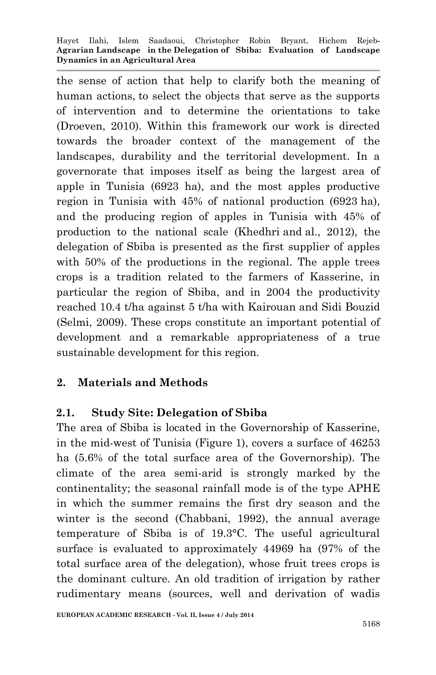the sense of action that help to clarify both the meaning of human actions, to select the objects that serve as the supports of intervention and to determine the orientations to take (Droeven, 2010). Within this framework our work is directed towards the broader context of the management of the landscapes, durability and the territorial development. In a governorate that imposes itself as being the largest area of apple in Tunisia (6923 ha), and the most apples productive region in Tunisia with 45% of national production (6923 ha), and the producing region of apples in Tunisia with 45% of production to the national scale (Khedhri and al., 2012), the delegation of Sbiba is presented as the first supplier of apples with 50% of the productions in the regional. The apple trees crops is a tradition related to the farmers of Kasserine, in particular the region of Sbiba, and in 2004 the productivity reached 10.4 t/ha against 5 t/ha with Kairouan and Sidi Bouzid (Selmi, 2009). These crops constitute an important potential of development and a remarkable appropriateness of a true sustainable development for this region.

#### **2. Materials and Methods**

## **2.1. Study Site: Delegation of Sbiba**

The area of Sbiba is located in the Governorship of Kasserine, in the mid-west of Tunisia (Figure 1), covers a surface of 46253 ha (5.6% of the total surface area of the Governorship). The climate of the area semi-arid is strongly marked by the continentality; the seasonal rainfall mode is of the type APHE in which the summer remains the first dry season and the winter is the second (Chabbani, 1992), the annual average temperature of Sbiba is of 19.3°C. The useful agricultural surface is evaluated to approximately 44969 ha (97% of the total surface area of the delegation), whose fruit trees crops is the dominant culture. An old tradition of irrigation by rather rudimentary means (sources, well and derivation of wadis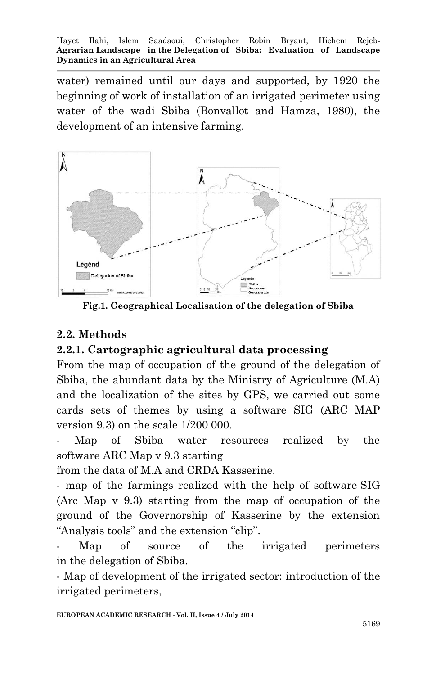water) remained until our days and supported, by 1920 the beginning of work of installation of an irrigated perimeter using water of the wadi Sbiba (Bonvallot and Hamza, 1980), the development of an intensive farming.



**Fig.1. Geographical Localisation of the delegation of Sbiba**

## **2.2. Methods**

## **2.2.1. Cartographic agricultural data processing**

From the map of occupation of the ground of the delegation of Sbiba, the abundant data by the Ministry of Agriculture (M.A) and the localization of the sites by GPS, we carried out some cards sets of themes by using a software SIG (ARC MAP version 9.3) on the scale 1/200 000.

Map of Sbiba water resources realized by the software ARC Map v 9.3 starting

from the data of M.A and CRDA Kasserine.

- map of the farmings realized with the help of software SIG (Arc Map v 9.3) starting from the map of occupation of the ground of the Governorship of Kasserine by the extension "Analysis tools" and the extension "clip".

Map of source of the irrigated perimeters in the delegation of Sbiba.

- Map of development of the irrigated sector: introduction of the irrigated perimeters,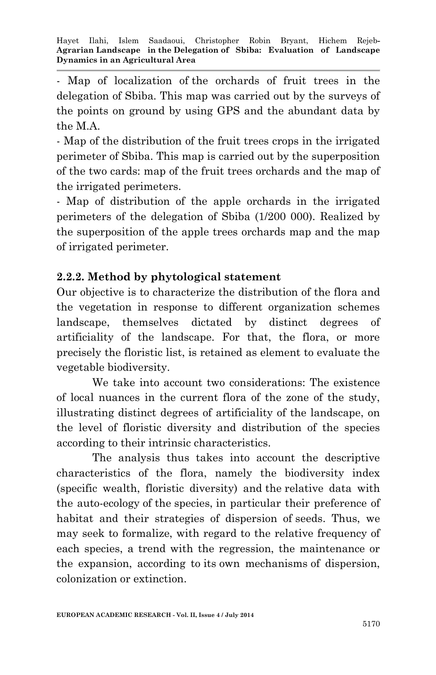- Map of localization of the orchards of fruit trees in the delegation of Sbiba. This map was carried out by the surveys of the points on ground by using GPS and the abundant data by the M.A.

- Map of the distribution of the fruit trees crops in the irrigated perimeter of Sbiba. This map is carried out by the superposition of the two cards: map of the fruit trees orchards and the map of the irrigated perimeters.

- Map of distribution of the apple orchards in the irrigated perimeters of the delegation of Sbiba (1/200 000). Realized by the superposition of the apple trees orchards map and the map of irrigated perimeter.

## **2.2.2. Method by phytological statement**

Our objective is to characterize the distribution of the flora and the vegetation in response to different organization schemes landscape, themselves dictated by distinct degrees of artificiality of the landscape. For that, the flora, or more precisely the floristic list, is retained as element to evaluate the vegetable biodiversity.

We take into account two considerations: The existence of local nuances in the current flora of the zone of the study, illustrating distinct degrees of artificiality of the landscape, on the level of floristic diversity and distribution of the species according to their intrinsic characteristics.

The analysis thus takes into account the descriptive characteristics of the flora, namely the biodiversity index (specific wealth, floristic diversity) and the relative data with the auto-ecology of the species, in particular their preference of habitat and their strategies of dispersion of seeds. Thus, we may seek to formalize, with regard to the relative frequency of each species, a trend with the regression, the maintenance or the expansion, according to its own mechanisms of dispersion, colonization or extinction.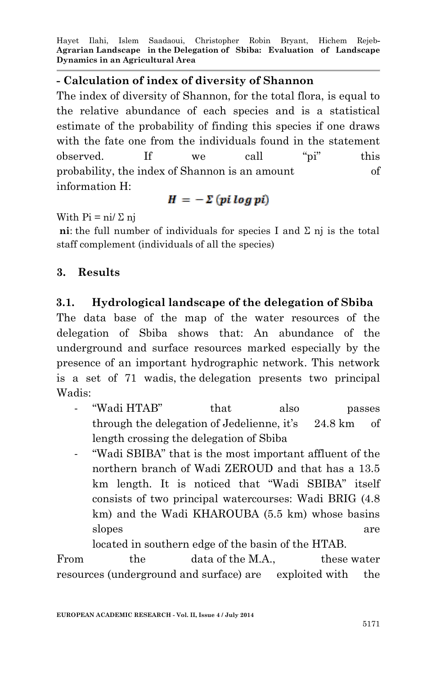#### **- Calculation of index of diversity of Shannon**

The index of diversity of Shannon, for the total flora, is equal to the relative abundance of each species and is a statistical estimate of the probability of finding this species if one draws with the fate one from the individuals found in the statement observed. If we call "pi" this probability, the index of Shannon is an amount of information H:

## $H = -\sum (pi \log pi)$

With  $Pi = \frac{n!}{\sum n}$ 

**ni**: the full number of individuals for species I and Σ nj is the total staff complement (individuals of all the species)

### **3. Results**

### **3.1. Hydrological landscape of the delegation of Sbiba**

The data base of the map of the water resources of the delegation of Sbiba shows that: An abundance of the underground and surface resources marked especially by the presence of an important hydrographic network. This network is a set of 71 wadis, the delegation presents two principal Wadis:

- "Wadi HTAB" that also passes through the delegation of Jedelienne, it's 24.8 km of length crossing the delegation of Sbiba
- "Wadi SBIBA" that is the most important affluent of the northern branch of Wadi ZEROUD and that has a 13.5 km length. It is noticed that "Wadi SBIBA" itself consists of two principal watercourses: Wadi BRIG (4.8 km) and the Wadi KHAROUBA (5.5 km) whose basins slopes are are the state of  $\alpha$

located in southern edge of the basin of the HTAB.

From the data of the M.A., these water resources (underground and surface) are exploited with the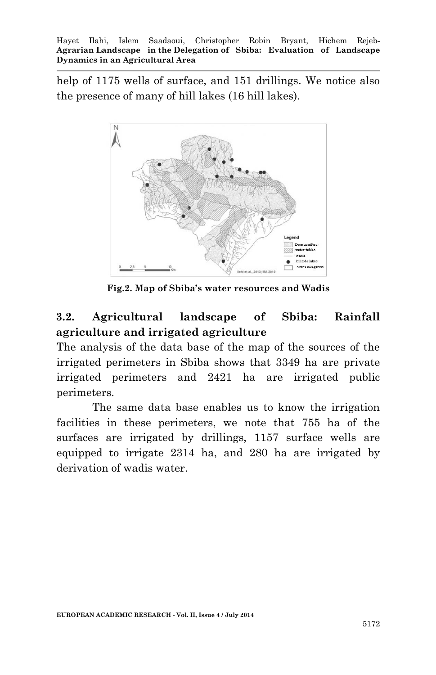help of 1175 wells of surface, and 151 drillings. We notice also the presence of many of hill lakes (16 hill lakes).



**Fig.2. Map of Sbiba's water resources and Wadis**

## **3.2. Agricultural landscape of Sbiba: Rainfall agriculture and irrigated agriculture**

The analysis of the data base of the map of the sources of the irrigated perimeters in Sbiba shows that 3349 ha are private irrigated perimeters and 2421 ha are irrigated public perimeters.

The same data base enables us to know the irrigation facilities in these perimeters, we note that 755 ha of the surfaces are irrigated by drillings, 1157 surface wells are equipped to irrigate 2314 ha, and 280 ha are irrigated by derivation of wadis water.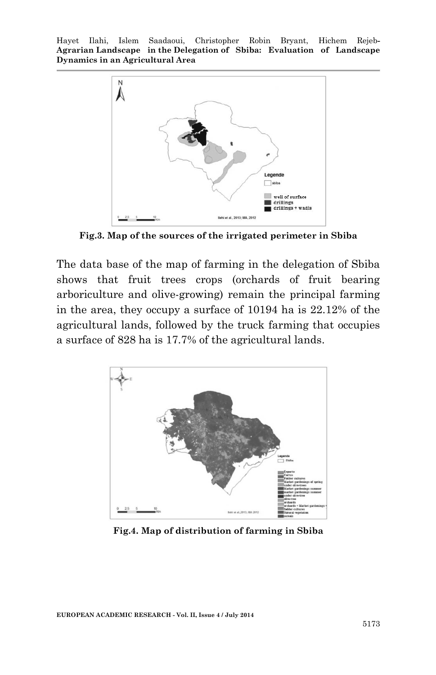

**Fig.3. Map of the sources of the irrigated perimeter in Sbiba**

The data base of the map of farming in the delegation of Sbiba shows that fruit trees crops (orchards of fruit bearing arboriculture and olive-growing) remain the principal farming in the area, they occupy a surface of 10194 ha is 22.12% of the agricultural lands, followed by the truck farming that occupies a surface of 828 ha is 17.7% of the agricultural lands.



**Fig.4. Map of distribution of farming in Sbiba**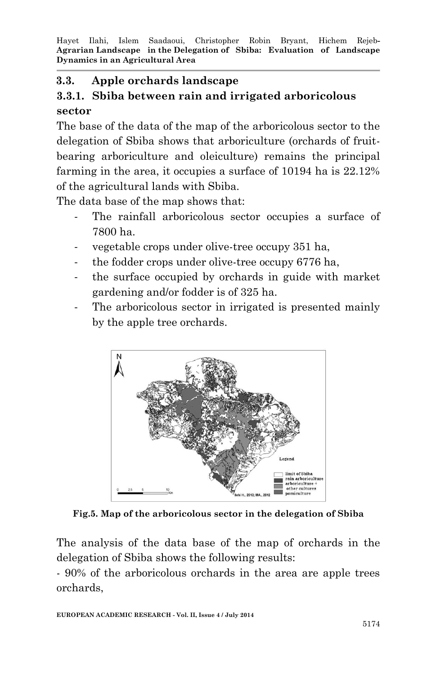### **3.3. Apple orchards landscape**

## **3.3.1. Sbiba between rain and irrigated arboricolous sector**

The base of the data of the map of the arboricolous sector to the delegation of Sbiba shows that arboriculture (orchards of fruitbearing arboriculture and oleiculture) remains the principal farming in the area, it occupies a surface of 10194 ha is  $22.12\%$ of the agricultural lands with Sbiba.

The data base of the map shows that:

- The rainfall arboricolous sector occupies a surface of 7800 ha.
- vegetable crops under olive-tree occupy 351 ha,
- the fodder crops under olive-tree occupy 6776 ha,
- the surface occupied by orchards in guide with market gardening and/or fodder is of 325 ha.
- The arboricolous sector in irrigated is presented mainly by the apple tree orchards.



**Fig.5. Map of the arboricolous sector in the delegation of Sbiba**

The analysis of the data base of the map of orchards in the delegation of Sbiba shows the following results:

- 90% of the arboricolous orchards in the area are apple trees orchards,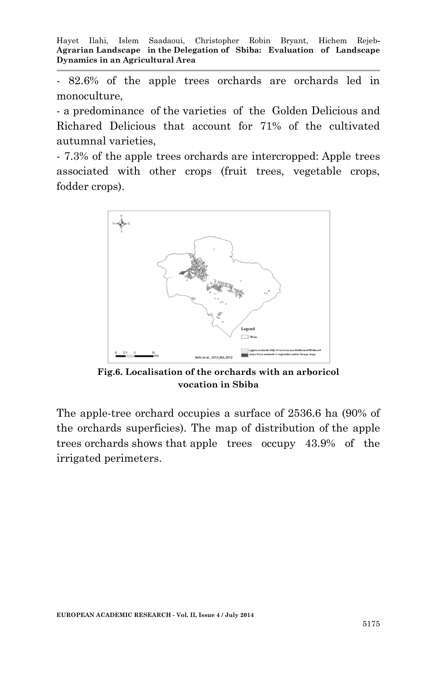- 82.6% of the apple trees orchards are orchards led in monoculture,

- a predominance of the varieties of the Golden Delicious and Richared Delicious that account for 71% of the cultivated autumnal varieties,

- 7.3% of the apple trees orchards are intercropped: Apple trees associated with other crops (fruit trees, vegetable crops, fodder crops).



**Fig.6. Localisation of the orchards with an arboricol vocation in Sbiba**

The apple-tree orchard occupies a surface of 2536.6 ha (90% of the orchards superficies). The map of distribution of the apple trees orchards shows that apple trees occupy 43.9% of the irrigated perimeters.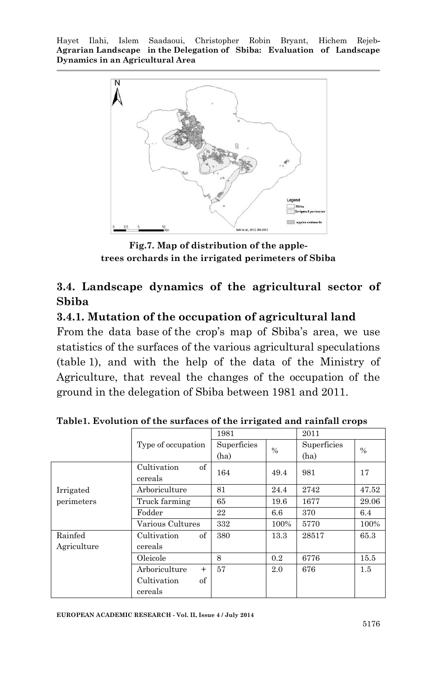

**Fig.7. Map of distribution of the appletrees orchards in the irrigated perimeters of Sbiba**

## **3.4. Landscape dynamics of the agricultural sector of Sbiba**

#### **3.4.1. Mutation of the occupation of agricultural land**

From the data base of the crop's map of Sbiba's area, we use statistics of the surfaces of the various agricultural speculations (table 1), and with the help of the data of the Ministry of Agriculture, that reveal the changes of the occupation of the ground in the delegation of Sbiba between 1981 and 2011.

|             |                      | 1981        |      | 2011        |       |
|-------------|----------------------|-------------|------|-------------|-------|
|             | Type of occupation   | Superficies | $\%$ | Superficies | $\%$  |
|             |                      | (ha)        |      | (ha)        |       |
|             | of<br>Cultivation    | 164         | 49.4 | 981         | 17    |
|             | cereals              |             |      |             |       |
| Irrigated   | Arboriculture        | 81          | 24.4 | 2742        | 47.52 |
| perimeters  | Truck farming        | 65          | 19.6 | 1677        | 29.06 |
|             | Fodder               | 22          | 6.6  | 370         | 6.4   |
|             | Various Cultures     | 332         | 100% | 5770        | 100%  |
| Rainfed     | of<br>Cultivation    | 380         | 13.3 | 28517       | 65.3  |
| Agriculture | cereals              |             |      |             |       |
|             | Oleicole             | 8           | 0.2  | 6776        | 15.5  |
|             | Arboriculture<br>$+$ | 57          | 2.0  | 676         | 1.5   |
|             | Cultivation<br>of    |             |      |             |       |
|             | cereals              |             |      |             |       |

**Table1. Evolution of the surfaces of the irrigated and rainfall crops**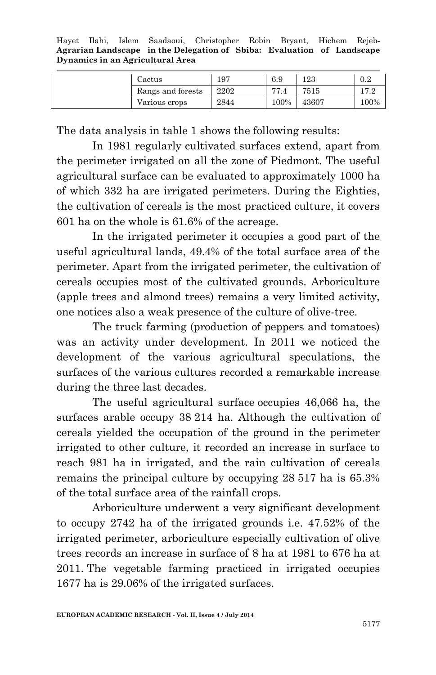| Cactus            | 197  | 6.9  | 123   | 0.2  |
|-------------------|------|------|-------|------|
| Rangs and forests | 2202 | 77   | 7515  | 179  |
| Various crops     | 2844 | 100% | 43607 | 100% |

The data analysis in table 1 shows the following results:

In 1981 regularly cultivated surfaces extend, apart from the perimeter irrigated on all the zone of Piedmont. The useful agricultural surface can be evaluated to approximately 1000 ha of which 332 ha are irrigated perimeters. During the Eighties, the cultivation of cereals is the most practiced culture, it covers 601 ha on the whole is 61.6% of the acreage.

In the irrigated perimeter it occupies a good part of the useful agricultural lands, 49.4% of the total surface area of the perimeter. Apart from the irrigated perimeter, the cultivation of cereals occupies most of the cultivated grounds. Arboriculture (apple trees and almond trees) remains a very limited activity, one notices also a weak presence of the culture of olive-tree.

The truck farming (production of peppers and tomatoes) was an activity under development. In 2011 we noticed the development of the various agricultural speculations, the surfaces of the various cultures recorded a remarkable increase during the three last decades.

The useful agricultural surface occupies 46,066 ha, the surfaces arable occupy 38 214 ha. Although the cultivation of cereals yielded the occupation of the ground in the perimeter irrigated to other culture, it recorded an increase in surface to reach 981 ha in irrigated, and the rain cultivation of cereals remains the principal culture by occupying 28 517 ha is 65.3% of the total surface area of the rainfall crops.

Arboriculture underwent a very significant development to occupy 2742 ha of the irrigated grounds i.e. 47.52% of the irrigated perimeter, arboriculture especially cultivation of olive trees records an increase in surface of 8 ha at 1981 to 676 ha at 2011. The vegetable farming practiced in irrigated occupies 1677 ha is 29.06% of the irrigated surfaces.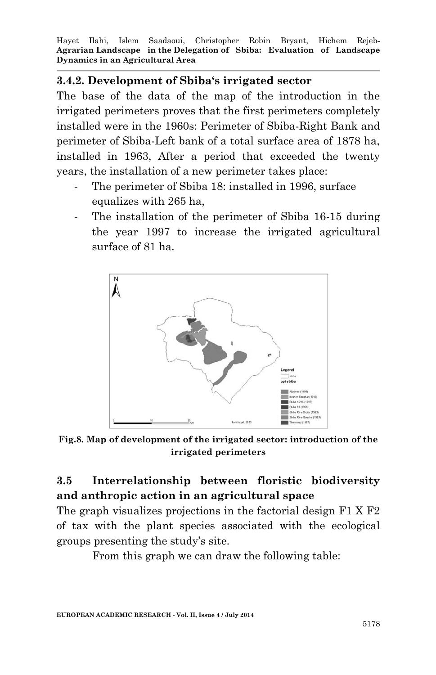#### **3.4.2. Development of Sbiba's irrigated sector**

The base of the data of the map of the introduction in the irrigated perimeters proves that the first perimeters completely installed were in the 1960s: Perimeter of Sbiba-Right Bank and perimeter of Sbiba-Left bank of a total surface area of 1878 ha, installed in 1963, After a period that exceeded the twenty years, the installation of a new perimeter takes place:

- The perimeter of Sbiba 18: installed in 1996, surface equalizes with 265 ha,
- The installation of the perimeter of Sbiba 16-15 during the year 1997 to increase the irrigated agricultural surface of 81 ha.



**Fig.8. Map of development of the irrigated sector: introduction of the irrigated perimeters**

# **3.5 Interrelationship between floristic biodiversity and anthropic action in an agricultural space**

The graph visualizes projections in the factorial design F1 X F2 of tax with the plant species associated with the ecological groups presenting the study's site.

From this graph we can draw the following table: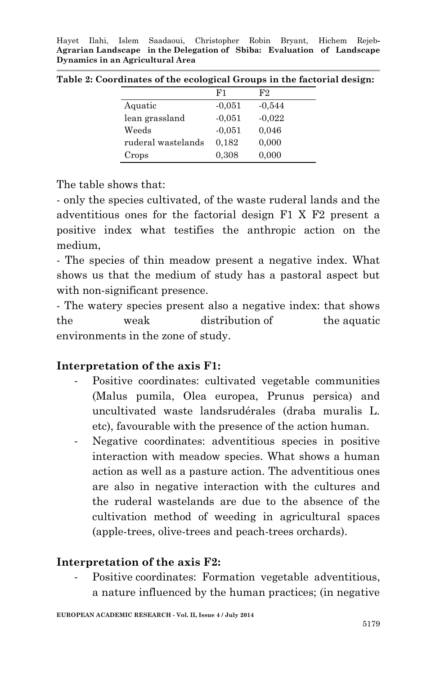Hayet Ilahi, Islem Saadaoui, Christopher Robin Bryant, Hichem Rejeb**-Agrarian Landscape in the Delegation of Sbiba: Evaluation of Landscape Dynamics in an Agricultural Area**

|                    | F1       | F2       |
|--------------------|----------|----------|
| Aquatic            | $-0.051$ | $-0.544$ |
| lean grassland     | $-0.051$ | $-0.022$ |
| Weeds              | $-0.051$ | 0,046    |
| ruderal wastelands | 0,182    | 0,000    |
| Crops              | 0,308    | 0,000    |

**Table 2: Coordinates of the ecological Groups in the factorial design:**

The table shows that:

- only the species cultivated, of the waste ruderal lands and the adventitious ones for the factorial design F1 X F2 present a positive index what testifies the anthropic action on the medium,

- The species of thin meadow present a negative index. What shows us that the medium of study has a pastoral aspect but with non-significant presence.

- The watery species present also a negative index: that shows the weak distribution of the aquatic environments in the zone of study.

#### **Interpretation of the axis F1:**

- Positive coordinates: cultivated vegetable communities (Malus pumila, Olea europea, Prunus persica) and uncultivated waste landsrudérales (draba muralis L. etc), favourable with the presence of the action human.
- Negative coordinates: adventitious species in positive interaction with meadow species. What shows a human action as well as a pasture action. The adventitious ones are also in negative interaction with the cultures and the ruderal wastelands are due to the absence of the cultivation method of weeding in agricultural spaces (apple-trees, olive-trees and peach-trees orchards).

## **Interpretation of the axis F2:**

Positive coordinates: Formation vegetable adventitious, a nature influenced by the human practices; (in negative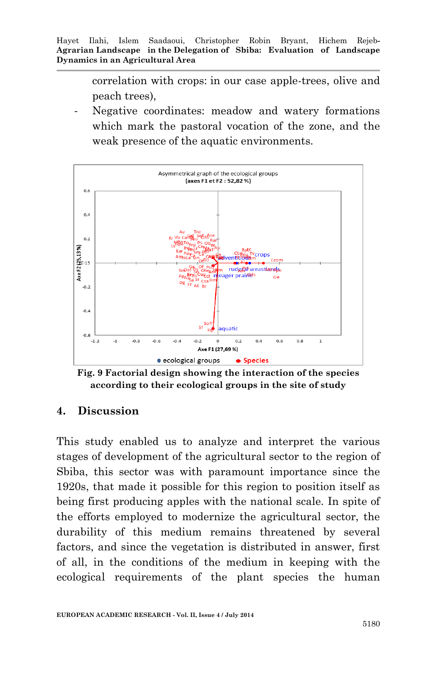correlation with crops: in our case apple-trees, olive and peach trees),

Negative coordinates: meadow and watery formations which mark the pastoral vocation of the zone, and the weak presence of the aquatic environments.



**Fig. 9 Factorial design showing the interaction of the species according to their ecological groups in the site of study** 

#### **4. Discussion**

This study enabled us to analyze and interpret the various stages of development of the agricultural sector to the region of Sbiba, this sector was with paramount importance since the 1920s, that made it possible for this region to position itself as being first producing apples with the national scale. In spite of the efforts employed to modernize the agricultural sector, the durability of this medium remains threatened by several factors, and since the vegetation is distributed in answer, first of all, in the conditions of the medium in keeping with the ecological requirements of the plant species the human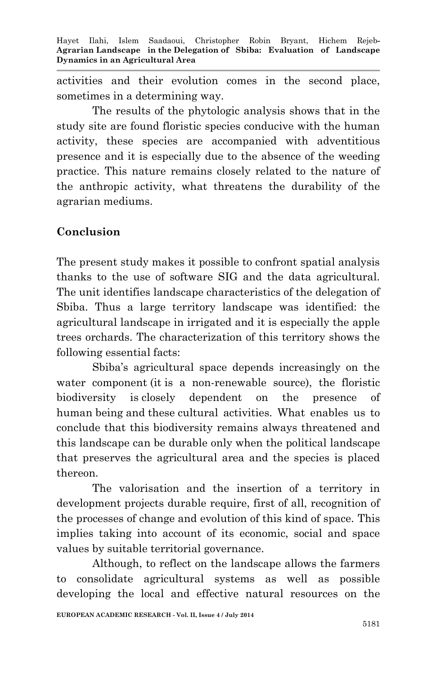activities and their evolution comes in the second place, sometimes in a determining way.

The results of the phytologic analysis shows that in the study site are found floristic species conducive with the human activity, these species are accompanied with adventitious presence and it is especially due to the absence of the weeding practice. This nature remains closely related to the nature of the anthropic activity, what threatens the durability of the agrarian mediums.

## **Conclusion**

The present study makes it possible to confront spatial analysis thanks to the use of software SIG and the data agricultural. The unit identifies landscape characteristics of the delegation of Sbiba. Thus a large territory landscape was identified: the agricultural landscape in irrigated and it is especially the apple trees orchards. The characterization of this territory shows the following essential facts:

Sbiba's agricultural space depends increasingly on the water component (it is a non-renewable source), the floristic biodiversity is closely dependent on the presence of human being and these cultural activities. What enables us to conclude that this biodiversity remains always threatened and this landscape can be durable only when the political landscape that preserves the agricultural area and the species is placed thereon.

The valorisation and the insertion of a territory in development projects durable require, first of all, recognition of the processes of change and evolution of this kind of space. This implies taking into account of its economic, social and space values by suitable territorial governance.

Although, to reflect on the landscape allows the farmers to consolidate agricultural systems as well as possible developing the local and effective natural resources on the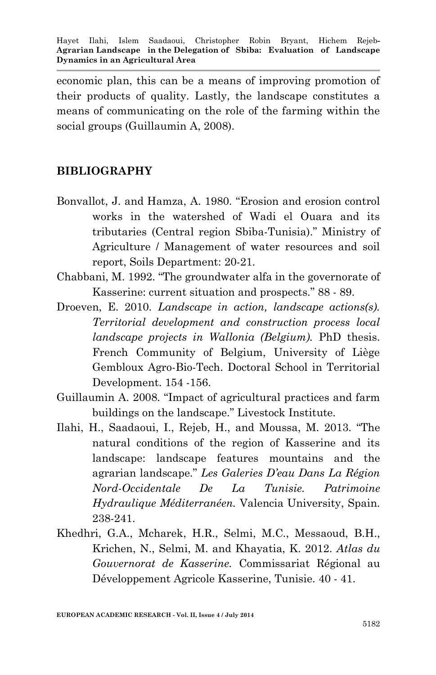economic plan, this can be a means of improving promotion of their products of quality. Lastly, the landscape constitutes a means of communicating on the role of the farming within the social groups (Guillaumin A, 2008).

### **BIBLIOGRAPHY**

- Bonvallot, J. and Hamza, A. 1980. "Erosion and erosion control works in the watershed of Wadi el Ouara and its tributaries (Central region Sbiba-Tunisia)." Ministry of Agriculture / Management of water resources and soil report, Soils Department: 20-21.
- Chabbani, M. 1992. "The groundwater alfa in the governorate of Kasserine: current situation and prospects." 88 - 89.
- Droeven, E. 2010. *Landscape in action, landscape actions(s). Territorial development and construction process local landscape projects in Wallonia (Belgium).* PhD thesis. French Community of Belgium, University of Liège Gembloux Agro-Bio-Tech. Doctoral School in Territorial Development. 154 -156.
- Guillaumin A. 2008. "Impact of agricultural practices and farm buildings on the landscape." Livestock Institute.
- Ilahi, H., Saadaoui, I., Rejeb, H., and Moussa, M. 2013. "The natural conditions of the region of Kasserine and its landscape: landscape features mountains and the agrarian landscape." *Les Galeries D'eau Dans La Région Nord-Occidentale De La Tunisie. Patrimoine Hydraulique Méditerranéen.* Valencia University, Spain. 238-241.
- Khedhri, G.A., Mcharek, H.R., Selmi, M.C., Messaoud, B.H., Krichen, N., Selmi, M. and Khayatia, K. 2012. *Atlas du Gouvernorat de Kasserine.* Commissariat Régional au Développement Agricole Kasserine, Tunisie. 40 - 41.